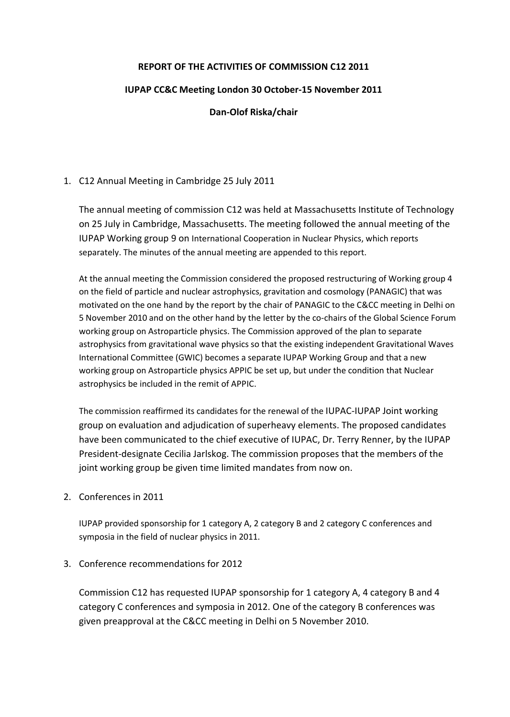## **REPORT OF THE ACTIVITIES OF COMMISSION C12 2011**

## **IUPAP CC&C Meeting London 30 October-15 November 2011**

## **Dan-Olof Riska/chair**

## 1. C12 Annual Meeting in Cambridge 25 July 2011

The annual meeting of commission C12 was held at Massachusetts Institute of Technology on 25 July in Cambridge, Massachusetts. The meeting followed the annual meeting of the IUPAP Working group 9 on International Cooperation in Nuclear Physics, which reports separately. The minutes of the annual meeting are appended to this report.

At the annual meeting the Commission considered the proposed restructuring of Working group 4 on the field of particle and nuclear astrophysics, gravitation and cosmology (PANAGIC) that was motivated on the one hand by the report by the chair of PANAGIC to the C&CC meeting in Delhi on 5 November 2010 and on the other hand by the letter by the co-chairs of the Global Science Forum working group on Astroparticle physics. The Commission approved of the plan to separate astrophysics from gravitational wave physics so that the existing independent Gravitational Waves International Committee (GWIC) becomes a separate IUPAP Working Group and that a new working group on Astroparticle physics APPIC be set up, but under the condition that Nuclear astrophysics be included in the remit of APPIC.

The commission reaffirmed its candidates for the renewal of the IUPAC-IUPAP Joint working group on evaluation and adjudication of superheavy elements. The proposed candidates have been communicated to the chief executive of IUPAC, Dr. Terry Renner, by the IUPAP President-designate Cecilia Jarlskog. The commission proposes that the members of the joint working group be given time limited mandates from now on.

2. Conferences in 2011

IUPAP provided sponsorship for 1 category A, 2 category B and 2 category C conferences and symposia in the field of nuclear physics in 2011.

3. Conference recommendations for 2012

Commission C12 has requested IUPAP sponsorship for 1 category A, 4 category B and 4 category C conferences and symposia in 2012. One of the category B conferences was given preapproval at the C&CC meeting in Delhi on 5 November 2010.